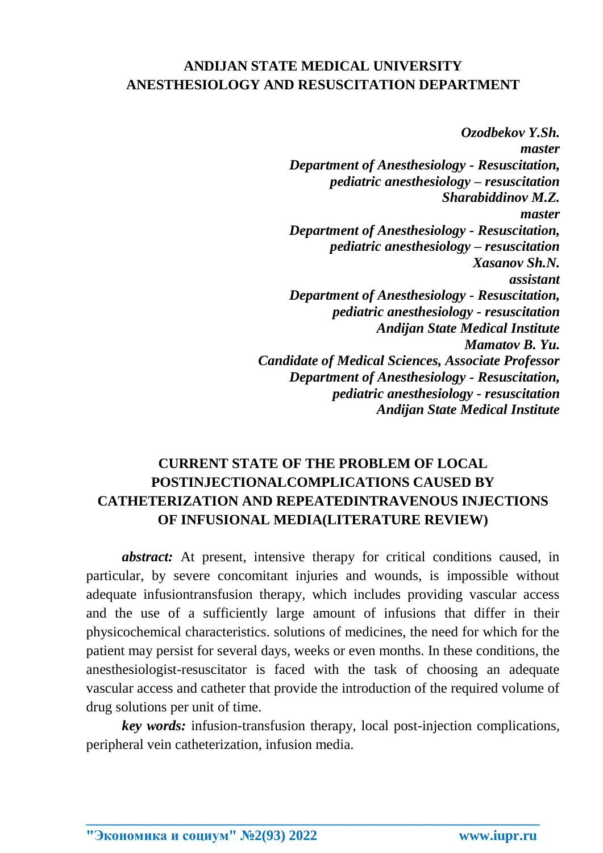## **ANDIJAN STATE MEDICAL UNIVERSITY ANESTHESIOLOGY AND RESUSCITATION DEPARTMENT**

*Ozodbekov Y.Sh. master Department of Anesthesiology - Resuscitation, pediatric anesthesiology – resuscitation Sharabiddinov M.Z. master Department of Anesthesiology - Resuscitation, pediatric anesthesiology – resuscitation Xasanov Sh.N. assistant Department of Anesthesiology - Resuscitation, pediatric anesthesiology - resuscitation Andijan State Medical Institute Mamatov B. Yu. Candidate of Medical Sciences, Associate Professor Department of Anesthesiology - Resuscitation, pediatric anesthesiology - resuscitation Andijan State Medical Institute*

# **CURRENT STATE OF THE PROBLEM OF LOCAL POSTINJECTIONALCOMPLICATIONS CAUSED BY CATHETERIZATION AND REPEATEDINTRAVENOUS INJECTIONS OF INFUSIONAL MEDIA(LITERATURE REVIEW)**

*abstract:* At present, intensive therapy for critical conditions caused, in particular, by severe concomitant injuries and wounds, is impossible without adequate infusiontransfusion therapy, which includes providing vascular access and the use of a sufficiently large amount of infusions that differ in their physicochemical characteristics. solutions of medicines, the need for which for the patient may persist for several days, weeks or even months. In these conditions, the anesthesiologist-resuscitator is faced with the task of choosing an adequate vascular access and catheter that provide the introduction of the required volume of drug solutions per unit of time.

*key words:* infusion-transfusion therapy, local post-injection complications, peripheral vein catheterization, infusion media.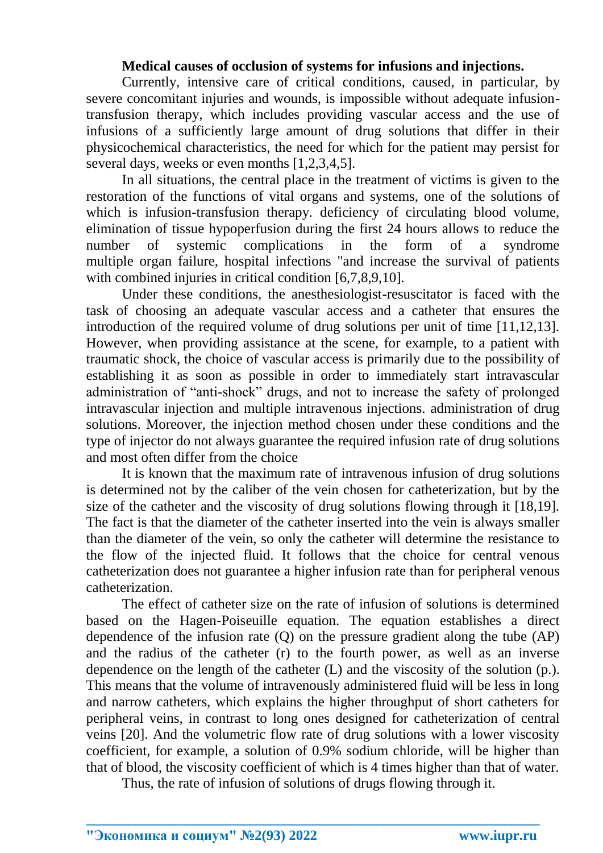#### **Medical causes of occlusion of systems for infusions and injections.**

Currently, intensive care of critical conditions, caused, in particular, by severe concomitant injuries and wounds, is impossible without adequate infusiontransfusion therapy, which includes providing vascular access and the use of infusions of a sufficiently large amount of drug solutions that differ in their physicochemical characteristics, the need for which for the patient may persist for several days, weeks or even months [1,2,3,4,5].

In all situations, the central place in the treatment of victims is given to the restoration of the functions of vital organs and systems, one of the solutions of which is infusion-transfusion therapy. deficiency of circulating blood volume, elimination of tissue hypoperfusion during the first 24 hours allows to reduce the number of systemic complications in the form of a syndrome multiple organ failure, hospital infections "and increase the survival of patients with combined injuries in critical condition [6,7,8,9,10].

Under these conditions, the anesthesiologist-resuscitator is faced with the task of choosing an adequate vascular access and a catheter that ensures the introduction of the required volume of drug solutions per unit of time [11,12,13]. However, when providing assistance at the scene, for example, to a patient with traumatic shock, the choice of vascular access is primarily due to the possibility of establishing it as soon as possible in order to immediately start intravascular administration of "anti-shock" drugs, and not to increase the safety of prolonged intravascular injection and multiple intravenous injections. administration of drug solutions. Moreover, the injection method chosen under these conditions and the type of injector do not always guarantee the required infusion rate of drug solutions and most often differ from the choice

It is known that the maximum rate of intravenous infusion of drug solutions is determined not by the caliber of the vein chosen for catheterization, but by the size of the catheter and the viscosity of drug solutions flowing through it [18,19]. The fact is that the diameter of the catheter inserted into the vein is always smaller than the diameter of the vein, so only the catheter will determine the resistance to the flow of the injected fluid. It follows that the choice for central venous catheterization does not guarantee a higher infusion rate than for peripheral venous catheterization.

The effect of catheter size on the rate of infusion of solutions is determined based on the Hagen-Poiseuille equation. The equation establishes a direct dependence of the infusion rate (Q) on the pressure gradient along the tube (AP) and the radius of the catheter (r) to the fourth power, as well as an inverse dependence on the length of the catheter (L) and the viscosity of the solution (p.). This means that the volume of intravenously administered fluid will be less in long and narrow catheters, which explains the higher throughput of short catheters for peripheral veins, in contrast to long ones designed for catheterization of central veins [20]. And the volumetric flow rate of drug solutions with a lower viscosity coefficient, for example, a solution of 0.9% sodium chloride, will be higher than that of blood, the viscosity coefficient of which is 4 times higher than that of water.

Thus, the rate of infusion of solutions of drugs flowing through it.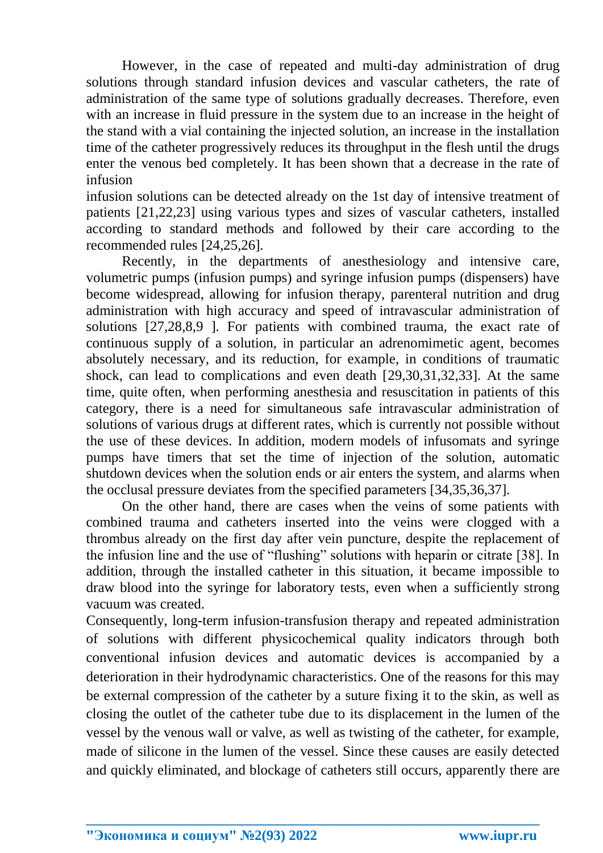However, in the case of repeated and multi-day administration of drug solutions through standard infusion devices and vascular catheters, the rate of administration of the same type of solutions gradually decreases. Therefore, even with an increase in fluid pressure in the system due to an increase in the height of the stand with a vial containing the injected solution, an increase in the installation time of the catheter progressively reduces its throughput in the flesh until the drugs enter the venous bed completely. It has been shown that a decrease in the rate of infusion

infusion solutions can be detected already on the 1st day of intensive treatment of patients [21,22,23] using various types and sizes of vascular catheters, installed according to standard methods and followed by their care according to the recommended rules [24,25,26].

Recently, in the departments of anesthesiology and intensive care, volumetric pumps (infusion pumps) and syringe infusion pumps (dispensers) have become widespread, allowing for infusion therapy, parenteral nutrition and drug administration with high accuracy and speed of intravascular administration of solutions [27,28,8,9 ]. For patients with combined trauma, the exact rate of continuous supply of a solution, in particular an adrenomimetic agent, becomes absolutely necessary, and its reduction, for example, in conditions of traumatic shock, can lead to complications and even death [29,30,31,32,33]. At the same time, quite often, when performing anesthesia and resuscitation in patients of this category, there is a need for simultaneous safe intravascular administration of solutions of various drugs at different rates, which is currently not possible without the use of these devices. In addition, modern models of infusomats and syringe pumps have timers that set the time of injection of the solution, automatic shutdown devices when the solution ends or air enters the system, and alarms when the occlusal pressure deviates from the specified parameters [34,35,36,37].

On the other hand, there are cases when the veins of some patients with combined trauma and catheters inserted into the veins were clogged with a thrombus already on the first day after vein puncture, despite the replacement of the infusion line and the use of "flushing" solutions with heparin or citrate [38]. In addition, through the installed catheter in this situation, it became impossible to draw blood into the syringe for laboratory tests, even when a sufficiently strong vacuum was created.

Consequently, long-term infusion-transfusion therapy and repeated administration of solutions with different physicochemical quality indicators through both conventional infusion devices and automatic devices is accompanied by a deterioration in their hydrodynamic characteristics. One of the reasons for this may be external compression of the catheter by a suture fixing it to the skin, as well as closing the outlet of the catheter tube due to its displacement in the lumen of the vessel by the venous wall or valve, as well as twisting of the catheter, for example, made of silicone in the lumen of the vessel. Since these causes are easily detected and quickly eliminated, and blockage of catheters still occurs, apparently there are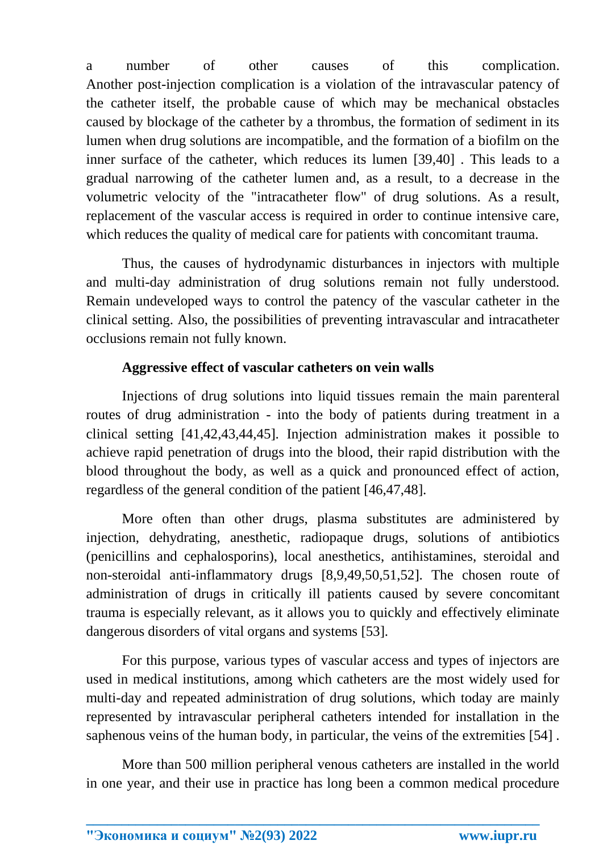a number of other causes of this complication. Another post-injection complication is a violation of the intravascular patency of the catheter itself, the probable cause of which may be mechanical obstacles caused by blockage of the catheter by a thrombus, the formation of sediment in its lumen when drug solutions are incompatible, and the formation of a biofilm on the inner surface of the catheter, which reduces its lumen [39,40] . This leads to a gradual narrowing of the catheter lumen and, as a result, to a decrease in the volumetric velocity of the "intracatheter flow" of drug solutions. As a result, replacement of the vascular access is required in order to continue intensive care, which reduces the quality of medical care for patients with concomitant trauma.

Thus, the causes of hydrodynamic disturbances in injectors with multiple and multi-day administration of drug solutions remain not fully understood. Remain undeveloped ways to control the patency of the vascular catheter in the clinical setting. Also, the possibilities of preventing intravascular and intracatheter occlusions remain not fully known.

## **Aggressive effect of vascular catheters on vein walls**

Injections of drug solutions into liquid tissues remain the main parenteral routes of drug administration - into the body of patients during treatment in a clinical setting [41,42,43,44,45]. Injection administration makes it possible to achieve rapid penetration of drugs into the blood, their rapid distribution with the blood throughout the body, as well as a quick and pronounced effect of action, regardless of the general condition of the patient [46,47,48].

More often than other drugs, plasma substitutes are administered by injection, dehydrating, anesthetic, radiopaque drugs, solutions of antibiotics (penicillins and cephalosporins), local anesthetics, antihistamines, steroidal and non-steroidal anti-inflammatory drugs [8,9,49,50,51,52]. The chosen route of administration of drugs in critically ill patients caused by severe concomitant trauma is especially relevant, as it allows you to quickly and effectively eliminate dangerous disorders of vital organs and systems [53].

For this purpose, various types of vascular access and types of injectors are used in medical institutions, among which catheters are the most widely used for multi-day and repeated administration of drug solutions, which today are mainly represented by intravascular peripheral catheters intended for installation in the saphenous veins of the human body, in particular, the veins of the extremities [54] .

More than 500 million peripheral venous catheters are installed in the world in one year, and their use in practice has long been a common medical procedure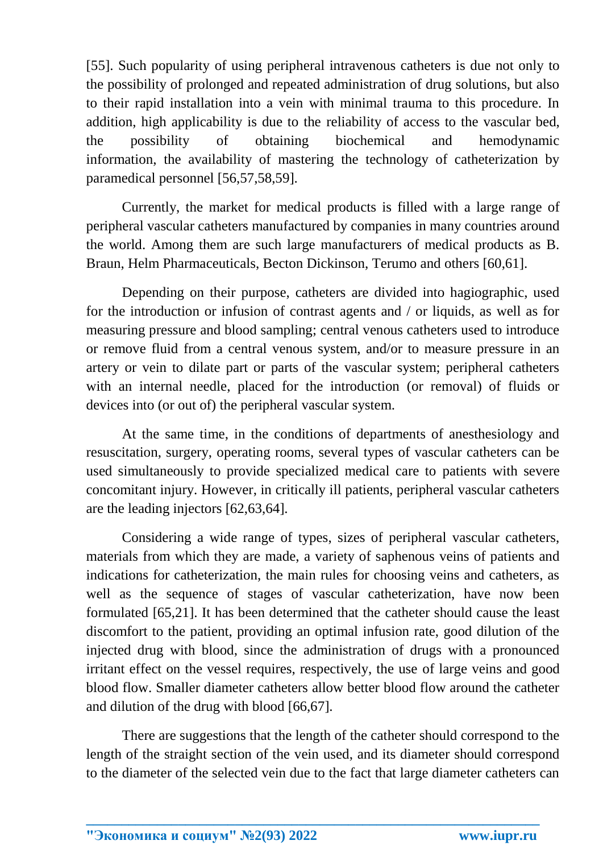[55]. Such popularity of using peripheral intravenous catheters is due not only to the possibility of prolonged and repeated administration of drug solutions, but also to their rapid installation into a vein with minimal trauma to this procedure. In addition, high applicability is due to the reliability of access to the vascular bed, the possibility of obtaining biochemical and hemodynamic information, the availability of mastering the technology of catheterization by paramedical personnel [56,57,58,59].

Currently, the market for medical products is filled with a large range of peripheral vascular catheters manufactured by companies in many countries around the world. Among them are such large manufacturers of medical products as B. Braun, Helm Pharmaceuticals, Becton Dickinson, Terumo and others [60,61].

Depending on their purpose, catheters are divided into hagiographic, used for the introduction or infusion of contrast agents and / or liquids, as well as for measuring pressure and blood sampling; central venous catheters used to introduce or remove fluid from a central venous system, and/or to measure pressure in an artery or vein to dilate part or parts of the vascular system; peripheral catheters with an internal needle, placed for the introduction (or removal) of fluids or devices into (or out of) the peripheral vascular system.

At the same time, in the conditions of departments of anesthesiology and resuscitation, surgery, operating rooms, several types of vascular catheters can be used simultaneously to provide specialized medical care to patients with severe concomitant injury. However, in critically ill patients, peripheral vascular catheters are the leading injectors [62,63,64].

Considering a wide range of types, sizes of peripheral vascular catheters, materials from which they are made, a variety of saphenous veins of patients and indications for catheterization, the main rules for choosing veins and catheters, as well as the sequence of stages of vascular catheterization, have now been formulated [65,21]. It has been determined that the catheter should cause the least discomfort to the patient, providing an optimal infusion rate, good dilution of the injected drug with blood, since the administration of drugs with a pronounced irritant effect on the vessel requires, respectively, the use of large veins and good blood flow. Smaller diameter catheters allow better blood flow around the catheter and dilution of the drug with blood [66,67].

There are suggestions that the length of the catheter should correspond to the length of the straight section of the vein used, and its diameter should correspond to the diameter of the selected vein due to the fact that large diameter catheters can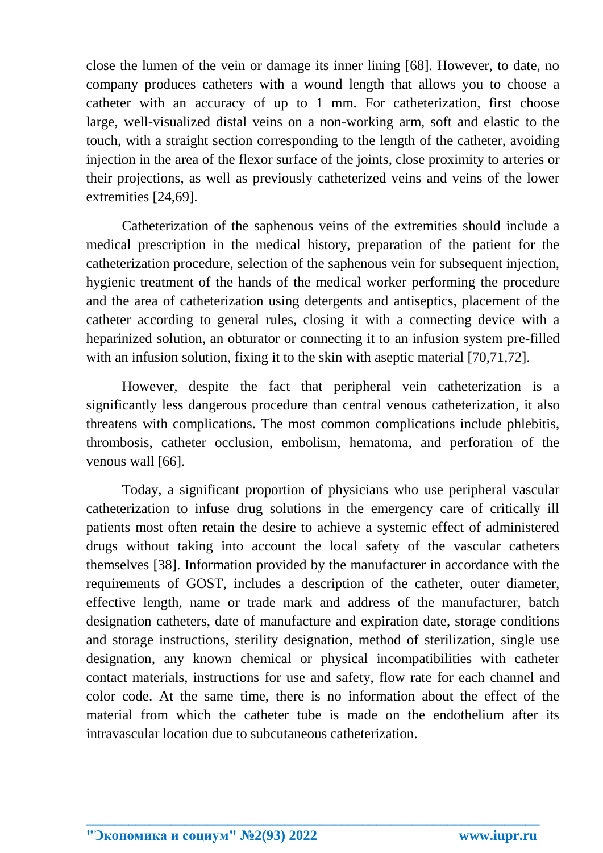close the lumen of the vein or damage its inner lining [68]. However, to date, no company produces catheters with a wound length that allows you to choose a catheter with an accuracy of up to 1 mm. For catheterization, first choose large, well-visualized distal veins on a non-working arm, soft and elastic to the touch, with a straight section corresponding to the length of the catheter, avoiding injection in the area of the flexor surface of the joints, close proximity to arteries or their projections, as well as previously catheterized veins and veins of the lower extremities [24,69].

Catheterization of the saphenous veins of the extremities should include a medical prescription in the medical history, preparation of the patient for the catheterization procedure, selection of the saphenous vein for subsequent injection, hygienic treatment of the hands of the medical worker performing the procedure and the area of catheterization using detergents and antiseptics, placement of the catheter according to general rules, closing it with a connecting device with a heparinized solution, an obturator or connecting it to an infusion system pre-filled with an infusion solution, fixing it to the skin with aseptic material [70,71,72].

However, despite the fact that peripheral vein catheterization is a significantly less dangerous procedure than central venous catheterization, it also threatens with complications. The most common complications include phlebitis, thrombosis, catheter occlusion, embolism, hematoma, and perforation of the venous wall [66].

Today, a significant proportion of physicians who use peripheral vascular catheterization to infuse drug solutions in the emergency care of critically ill patients most often retain the desire to achieve a systemic effect of administered drugs without taking into account the local safety of the vascular catheters themselves [38]. Information provided by the manufacturer in accordance with the requirements of GOST, includes a description of the catheter, outer diameter, effective length, name or trade mark and address of the manufacturer, batch designation catheters, date of manufacture and expiration date, storage conditions and storage instructions, sterility designation, method of sterilization, single use designation, any known chemical or physical incompatibilities with catheter contact materials, instructions for use and safety, flow rate for each channel and color code. At the same time, there is no information about the effect of the material from which the catheter tube is made on the endothelium after its intravascular location due to subcutaneous catheterization.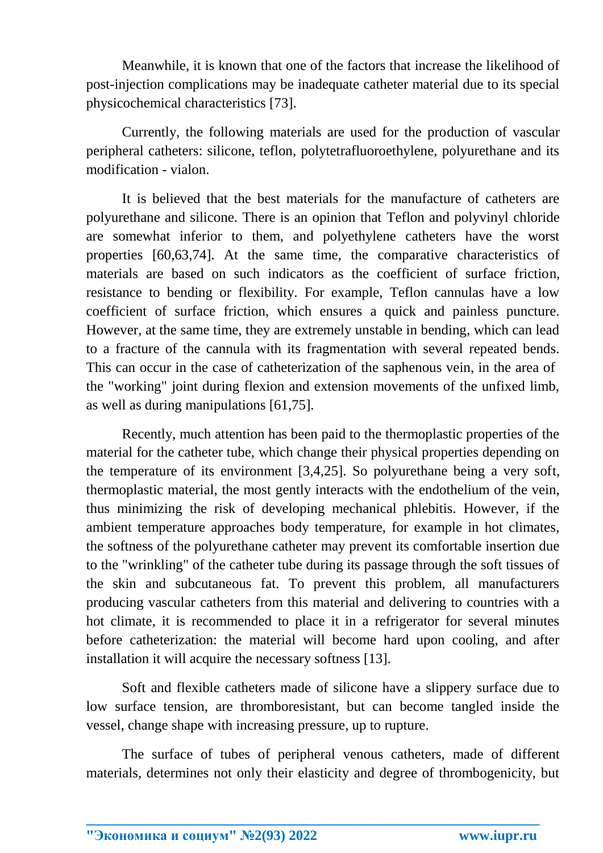Meanwhile, it is known that one of the factors that increase the likelihood of post-injection complications may be inadequate catheter material due to its special physicochemical characteristics [73].

Currently, the following materials are used for the production of vascular peripheral catheters: silicone, teflon, polytetrafluoroethylene, polyurethane and its modification - vialon.

It is believed that the best materials for the manufacture of catheters are polyurethane and silicone. There is an opinion that Teflon and polyvinyl chloride are somewhat inferior to them, and polyethylene catheters have the worst properties [60,63,74]. At the same time, the comparative characteristics of materials are based on such indicators as the coefficient of surface friction, resistance to bending or flexibility. For example, Teflon cannulas have a low coefficient of surface friction, which ensures a quick and painless puncture. However, at the same time, they are extremely unstable in bending, which can lead to a fracture of the cannula with its fragmentation with several repeated bends. This can occur in the case of catheterization of the saphenous vein, in the area of the "working" joint during flexion and extension movements of the unfixed limb, as well as during manipulations [61,75].

Recently, much attention has been paid to the thermoplastic properties of the material for the catheter tube, which change their physical properties depending on the temperature of its environment [3,4,25]. So polyurethane being a very soft, thermoplastic material, the most gently interacts with the endothelium of the vein, thus minimizing the risk of developing mechanical phlebitis. However, if the ambient temperature approaches body temperature, for example in hot climates, the softness of the polyurethane catheter may prevent its comfortable insertion due to the "wrinkling" of the catheter tube during its passage through the soft tissues of the skin and subcutaneous fat. To prevent this problem, all manufacturers producing vascular catheters from this material and delivering to countries with a hot climate, it is recommended to place it in a refrigerator for several minutes before catheterization: the material will become hard upon cooling, and after installation it will acquire the necessary softness [13].

Soft and flexible catheters made of silicone have a slippery surface due to low surface tension, are thromboresistant, but can become tangled inside the vessel, change shape with increasing pressure, up to rupture.

The surface of tubes of peripheral venous catheters, made of different materials, determines not only their elasticity and degree of thrombogenicity, but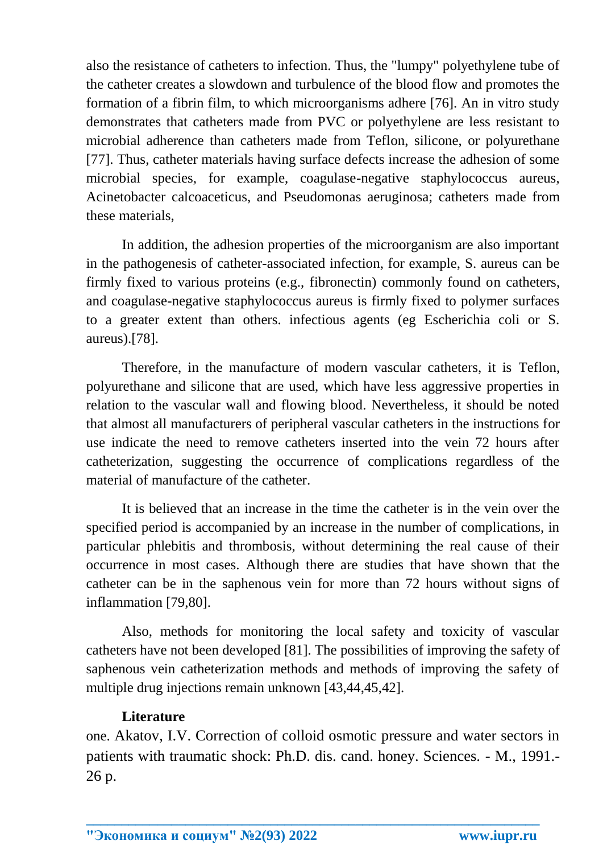also the resistance of catheters to infection. Thus, the "lumpy" polyethylene tube of the catheter creates a slowdown and turbulence of the blood flow and promotes the formation of a fibrin film, to which microorganisms adhere [76]. An in vitro study demonstrates that catheters made from PVC or polyethylene are less resistant to microbial adherence than catheters made from Teflon, silicone, or polyurethane [77]. Thus, catheter materials having surface defects increase the adhesion of some microbial species, for example, coagulase-negative staphylococcus aureus, Acinetobacter calcoaceticus, and Pseudomonas aeruginosa; catheters made from these materials,

In addition, the adhesion properties of the microorganism are also important in the pathogenesis of catheter-associated infection, for example, S. aureus can be firmly fixed to various proteins (e.g., fibronectin) commonly found on catheters, and coagulase-negative staphylococcus aureus is firmly fixed to polymer surfaces to a greater extent than others. infectious agents (eg Escherichia coli or S. aureus).[78].

Therefore, in the manufacture of modern vascular catheters, it is Teflon, polyurethane and silicone that are used, which have less aggressive properties in relation to the vascular wall and flowing blood. Nevertheless, it should be noted that almost all manufacturers of peripheral vascular catheters in the instructions for use indicate the need to remove catheters inserted into the vein 72 hours after catheterization, suggesting the occurrence of complications regardless of the material of manufacture of the catheter.

It is believed that an increase in the time the catheter is in the vein over the specified period is accompanied by an increase in the number of complications, in particular phlebitis and thrombosis, without determining the real cause of their occurrence in most cases. Although there are studies that have shown that the catheter can be in the saphenous vein for more than 72 hours without signs of inflammation [79,80].

Also, methods for monitoring the local safety and toxicity of vascular catheters have not been developed [81]. The possibilities of improving the safety of saphenous vein catheterization methods and methods of improving the safety of multiple drug injections remain unknown [43,44,45,42].

## **Literature**

one. Akatov, I.V. Correction of colloid osmotic pressure and water sectors in patients with traumatic shock: Ph.D. dis. cand. honey. Sciences. - M., 1991.- 26 p.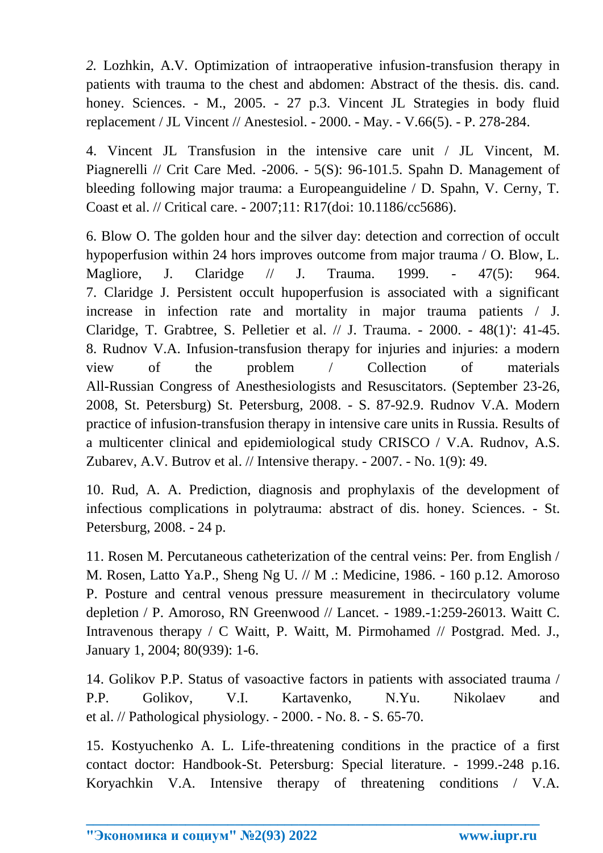*2.* Lozhkin, A.V. Optimization of intraoperative infusion-transfusion therapy in patients with trauma to the chest and abdomen: Abstract of the thesis. dis. cand. honey. Sciences. - M., 2005. - 27 p.3. Vincent JL Strategies in body fluid replacement / JL Vincent // Anestesiol. - 2000. - May. - V.66(5). - P. 278-284.

4. Vincent JL Transfusion in the intensive care unit / JL Vincent, M. Piagnerelli // Crit Care Med. -2006. - 5(S): 96-101.5. Spahn D. Management of bleeding following major trauma: a Europeanguideline / D. Spahn, V. Cerny, T. Coast et al. // Critical care. - 2007;11: R17(doi: 10.1186/cc5686).

6. Blow O. The golden hour and the silver day: detection and correction of occult hypoperfusion within 24 hors improves outcome from major trauma / O. Blow, L. Magliore, J. Claridge // J. Trauma. 1999. - 47(5): 964. 7. Claridge J. Persistent occult hupoperfusion is associated with a significant increase in infection rate and mortality in major trauma patients / J. Claridge, T. Grabtree, S. Pelletier et al. // J. Trauma. - 2000. - 48(1)': 41-45. 8. Rudnov V.A. Infusion-transfusion therapy for injuries and injuries: a modern view of the problem / Collection of materials All-Russian Congress of Anesthesiologists and Resuscitators. (September 23-26, 2008, St. Petersburg) St. Petersburg, 2008. - S. 87-92.9. Rudnov V.A. Modern practice of infusion-transfusion therapy in intensive care units in Russia. Results of a multicenter clinical and epidemiological study CRISCO / V.A. Rudnov, A.S. Zubarev, A.V. Butrov et al. // Intensive therapy. - 2007. - No. 1(9): 49.

10. Rud, A. A. Prediction, diagnosis and prophylaxis of the development of infectious complications in polytrauma: abstract of dis. honey. Sciences. - St. Petersburg, 2008. - 24 p.

11. Rosen M. Percutaneous catheterization of the central veins: Per. from English / M. Rosen, Latto Ya.P., Sheng Ng U. // M .: Medicine, 1986. - 160 p.12. Amoroso P. Posture and central venous pressure measurement in thecirculatory volume depletion / P. Amoroso, RN Greenwood // Lancet. - 1989.-1:259-26013. Waitt C. Intravenous therapy / C Waitt, P. Waitt, M. Pirmohamed // Postgrad. Med. J., January 1, 2004; 80(939): 1-6.

14. Golikov P.P. Status of vasoactive factors in patients with associated trauma / P.P. Golikov, V.I. Kartavenko, N.Yu. Nikolaev and et al. // Pathological physiology. - 2000. - No. 8. - S. 65-70.

15. Kostyuchenko A. L. Life-threatening conditions in the practice of a first contact doctor: Handbook-St. Petersburg: Special literature. - 1999.-248 p.16. Koryachkin V.A. Intensive therapy of threatening conditions / V.A.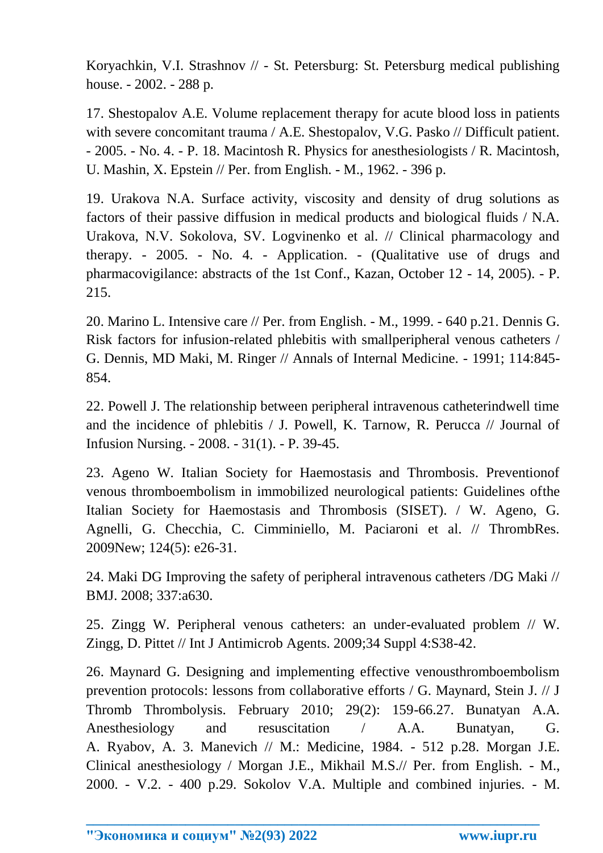Koryachkin, V.I. Strashnov // - St. Petersburg: St. Petersburg medical publishing house. - 2002. - 288 p.

17. Shestopalov A.E. Volume replacement therapy for acute blood loss in patients with severe concomitant trauma / A.E. Shestopalov, V.G. Pasko // Difficult patient. - 2005. - No. 4. - P. 18. Macintosh R. Physics for anesthesiologists / R. Macintosh, U. Mashin, X. Epstein // Per. from English. - M., 1962. - 396 p.

19. Urakova N.A. Surface activity, viscosity and density of drug solutions as factors of their passive diffusion in medical products and biological fluids / N.A. Urakova, N.V. Sokolova, SV. Logvinenko et al. // Clinical pharmacology and therapy. - 2005. - No. 4. - Application. - (Qualitative use of drugs and pharmacovigilance: abstracts of the 1st Conf., Kazan, October 12 - 14, 2005). - P. 215.

20. Marino L. Intensive care // Per. from English. - M., 1999. - 640 p.21. Dennis G. Risk factors for infusion-related phlebitis with smallperipheral venous catheters / G. Dennis, MD Maki, M. Ringer // Annals of Internal Medicine. - 1991; 114:845- 854.

22. Powell J. The relationship between peripheral intravenous catheterindwell time and the incidence of phlebitis / J. Powell, K. Tarnow, R. Perucca // Journal of Infusion Nursing. - 2008. - 31(1). - P. 39-45.

23. Ageno W. Italian Society for Haemostasis and Thrombosis. Preventionof venous thromboembolism in immobilized neurological patients: Guidelines ofthe Italian Society for Haemostasis and Thrombosis (SISET). / W. Ageno, G. Agnelli, G. Checchia, C. Cimminiello, M. Paciaroni et al. // ThrombRes. 2009New; 124(5): e26-31.

24. Maki DG Improving the safety of peripheral intravenous catheters /DG Maki // BMJ. 2008; 337:a630.

25. Zingg W. Peripheral venous catheters: an under-evaluated problem // W. Zingg, D. Pittet // Int J Antimicrob Agents. 2009;34 Suppl 4:S38-42.

26. Maynard G. Designing and implementing effective venousthromboembolism prevention protocols: lessons from collaborative efforts / G. Maynard, Stein J. // J Thromb Thrombolysis. February 2010; 29(2): 159-66.27. Bunatyan A.A. Anesthesiology and resuscitation / A.A. Bunatyan, G. A. Ryabov, A. 3. Manevich // M.: Medicine, 1984. - 512 p.28. Morgan J.E. Clinical anesthesiology / Morgan J.E., Mikhail M.S.// Per. from English. - M., 2000. - V.2. - 400 p.29. Sokolov V.A. Multiple and combined injuries. - M.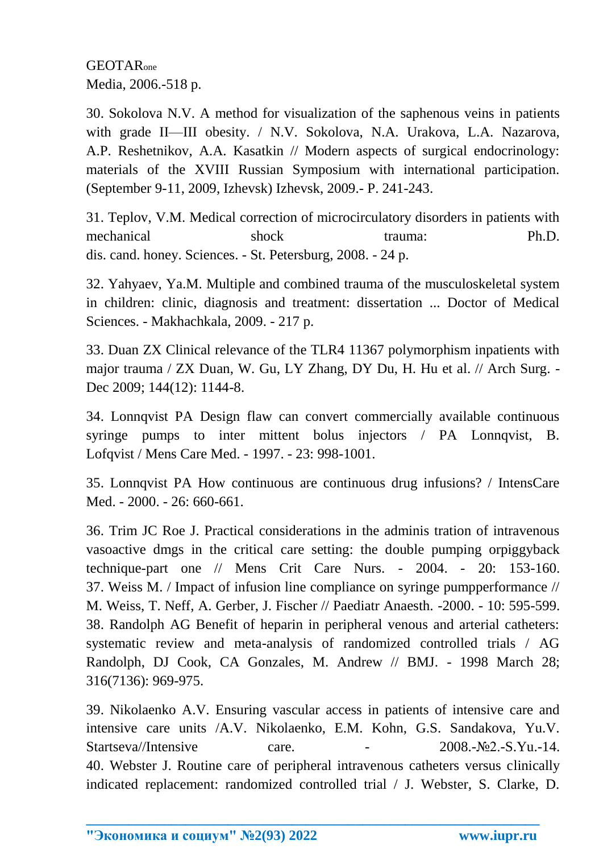GEOTARone Media, 2006.-518 p.

30. Sokolova N.V. A method for visualization of the saphenous veins in patients with grade II—III obesity. / N.V. Sokolova, N.A. Urakova, L.A. Nazarova, A.P. Reshetnikov, A.A. Kasatkin // Modern aspects of surgical endocrinology: materials of the XVIII Russian Symposium with international participation. (September 9-11, 2009, Izhevsk) Izhevsk, 2009.- P. 241-243.

31. Teplov, V.M. Medical correction of microcirculatory disorders in patients with mechanical shock trauma: Ph.D. dis. cand. honey. Sciences. - St. Petersburg, 2008. - 24 p.

32. Yahyaev, Ya.M. Multiple and combined trauma of the musculoskeletal system in children: clinic, diagnosis and treatment: dissertation ... Doctor of Medical Sciences. - Makhachkala, 2009. - 217 p.

33. Duan ZX Clinical relevance of the TLR4 11367 polymorphism inpatients with major trauma / ZX Duan, W. Gu, LY Zhang, DY Du, H. Hu et al. // Arch Surg. - Dec 2009; 144(12): 1144-8.

34. Lonnqvist PA Design flaw can convert commercially available continuous syringe pumps to inter mittent bolus injectors / PA Lonnqvist, B. Lofqvist / Mens Care Med. - 1997. - 23: 998-1001.

35. Lonnqvist PA How continuous are continuous drug infusions? / IntensCare Med. - 2000. - 26: 660-661.

36. Trim JC Roe J. Practical considerations in the adminis tration of intravenous vasoactive dmgs in the critical care setting: the double pumping orpiggyback technique-part one // Mens Crit Care Nurs. - 2004. - 20: 153-160. 37. Weiss M. / Impact of infusion line compliance on syringe pumpperformance // M. Weiss, T. Neff, A. Gerber, J. Fischer // Paediatr Anaesth. -2000. - 10: 595-599. 38. Randolph AG Benefit of heparin in peripheral venous and arterial catheters: systematic review and meta-analysis of randomized controlled trials / AG Randolph, DJ Cook, CA Gonzales, M. Andrew // BMJ. - 1998 March 28; 316(7136): 969-975.

39. Nikolaenko A.V. Ensuring vascular access in patients of intensive care and intensive care units /A.V. Nikolaenko, E.M. Kohn, G.S. Sandakova, Yu.V.  $Startseva/Intensive \qquad \text{care.} \qquad - \qquad 2008.-Ne2.-S.Yu.-14.$ 40. Webster J. Routine care of peripheral intravenous catheters versus clinically indicated replacement: randomized controlled trial / J. Webster, S. Clarke, D.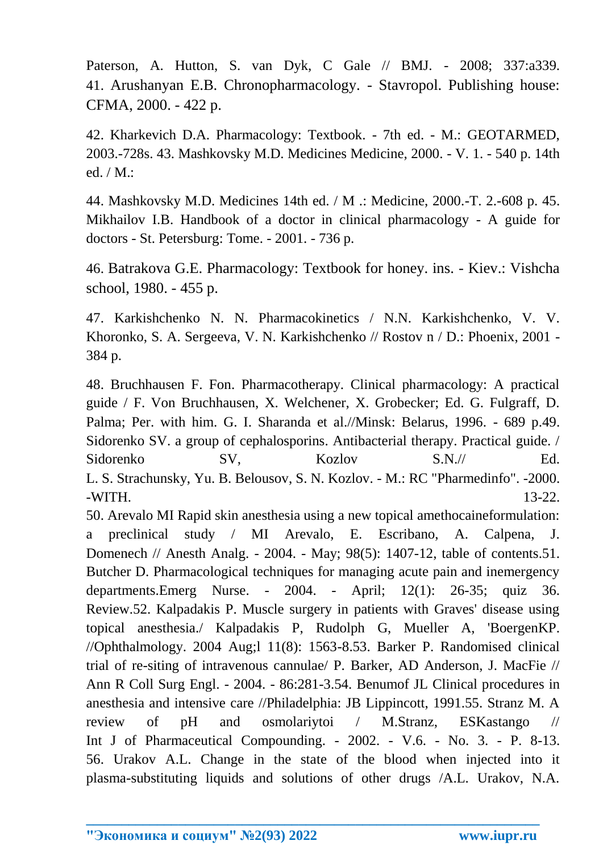Paterson, A. Hutton, S. van Dyk, C Gale // BMJ. - 2008; 337:a339. 41. Arushanyan E.B. Chronopharmacology. - Stavropol. Publishing house: CFMA, 2000. - 422 p.

42. Kharkevich D.A. Pharmacology: Textbook. - 7th ed. - M.: GEOTARMED, 2003.-728s. 43. Mashkovsky M.D. Medicines Medicine, 2000. - V. 1. - 540 p. 14th ed. / M.:

44. Mashkovsky M.D. Medicines 14th ed. / M .: Medicine, 2000.-T. 2.-608 p. 45. Mikhailov I.B. Handbook of a doctor in clinical pharmacology - A guide for doctors - St. Petersburg: Tome. - 2001. - 736 p.

46. Batrakova G.E. Pharmacology: Textbook for honey. ins. - Kiev.: Vishcha school, 1980. - 455 p.

47. Karkishchenko N. N. Pharmacokinetics / N.N. Karkishchenko, V. V. Khoronko, S. A. Sergeeva, V. N. Karkishchenko // Rostov n / D.: Phoenix, 2001 - 384 p.

48. Bruchhausen F. Fon. Pharmacotherapy. Clinical pharmacology: A practical guide / F. Von Bruchhausen, X. Welchener, X. Grobecker; Ed. G. Fulgraff, D. Palma; Per. with him. G. I. Sharanda et al.//Minsk: Belarus, 1996. - 689 p.49. Sidorenko SV. a group of cephalosporins. Antibacterial therapy. Practical guide. / Sidorenko SV, Kozlov S.N.// Ed. L. S. Strachunsky, Yu. B. Belousov, S. N. Kozlov. - M.: RC "Pharmedinfo". -2000. -WITH. 13-22.

50. Arevalo MI Rapid skin anesthesia using a new topical amethocaineformulation: a preclinical study / MI Arevalo, E. Escribano, A. Calpena, J. Domenech // Anesth Analg. - 2004. - May; 98(5): 1407-12, table of contents.51. Butcher D. Pharmacological techniques for managing acute pain and inemergency departments.Emerg Nurse. - 2004. - April; 12(1): 26-35; quiz 36. Review.52. Kalpadakis P. Muscle surgery in patients with Graves' disease using topical anesthesia./ Kalpadakis P, Rudolph G, Mueller A, 'BoergenKP. //Ophthalmology. 2004 Aug;l 11(8): 1563-8.53. Barker P. Randomised clinical trial of re-siting of intravenous cannulae/ P. Barker, AD Anderson, J. MacFie // Ann R Coll Surg Engl. - 2004. - 86:281-3.54. Benumof JL Clinical procedures in anesthesia and intensive care //Philadelphia: JB Lippincott, 1991.55. Stranz M. A review of pH and osmolariytoi / M.Stranz, ESKastango // Int J of Pharmaceutical Compounding. - 2002. - V.6. - No. 3. - P. 8-13. 56. Urakov A.L. Change in the state of the blood when injected into it plasma-substituting liquids and solutions of other drugs /A.L. Urakov, N.A.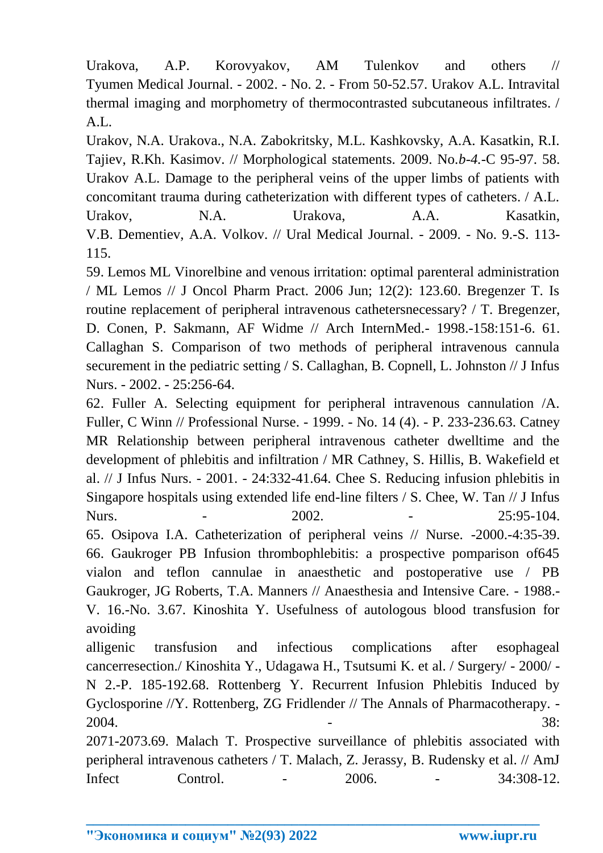Urakova, A.P. Korovyakov, AM Tulenkov and others // Tyumen Medical Journal. - 2002. - No. 2. - From 50-52.57. Urakov A.L. Intravital thermal imaging and morphometry of thermocontrasted subcutaneous infiltrates. /  $A.I.$ 

Urakov, N.A. Urakova., N.A. Zabokritsky, M.L. Kashkovsky, A.A. Kasatkin, R.I. Tajiev, R.Kh. Kasimov. // Morphological statements. 2009. No.*b-4.*-C 95-97. 58. Urakov A.L. Damage to the peripheral veins of the upper limbs of patients with concomitant trauma during catheterization with different types of catheters. / A.L. Urakov, N.A. Urakova, A.A. Kasatkin, V.B. Dementiev, A.A. Volkov. // Ural Medical Journal. - 2009. - No. 9.-S. 113- 115.

59. Lemos ML Vinorelbine and venous irritation: optimal parenteral administration / ML Lemos // J Oncol Pharm Pract. 2006 Jun; 12(2): 123.60. Bregenzer T. Is routine replacement of peripheral intravenous cathetersnecessary? / T. Bregenzer, D. Conen, P. Sakmann, AF Widme // Arch InternMed.- 1998.-158:151-6. 61. Callaghan S. Comparison of two methods of peripheral intravenous cannula securement in the pediatric setting / S. Callaghan, B. Copnell, L. Johnston // J Infus Nurs. - 2002. - 25:256-64.

62. Fuller A. Selecting equipment for peripheral intravenous cannulation /A. Fuller, C Winn // Professional Nurse. - 1999. - No. 14 (4). - P. 233-236.63. Catney MR Relationship between peripheral intravenous catheter dwelltime and the development of phlebitis and infiltration / MR Cathney, S. Hillis, B. Wakefield et al. // J Infus Nurs. - 2001. - 24:332-41.64. Chee S. Reducing infusion phlebitis in Singapore hospitals using extended life end-line filters / S. Chee, W. Tan // J Infus Nurs. 1. 1. 2002. 1. 2002. 1. 25:95-104. 65. Osipova I.A. Catheterization of peripheral veins // Nurse. -2000.-4:35-39. 66. Gaukroger PB Infusion thrombophlebitis: a prospective pomparison of645 vialon and teflon cannulae in anaesthetic and postoperative use / PB Gaukroger, JG Roberts, T.A. Manners // Anaesthesia and Intensive Care. - 1988.- V. 16.-No. 3.67. Kinoshita Y. Usefulness of autologous blood transfusion for avoiding

alligenic transfusion and infectious complications after esophageal cancerresection./ Kinoshita Y., Udagawa H., Tsutsumi K. et al. / Surgery/ - 2000/ - N 2.-P. 185-192.68. Rottenberg Y. Recurrent Infusion Phlebitis Induced by Gyclosporine //Y. Rottenberg, ZG Fridlender // The Annals of Pharmacotherapy. -  $2004.$  38:

2071-2073.69. Malach T. Prospective surveillance of phlebitis associated with peripheral intravenous catheters / T. Malach, Z. Jerassy, B. Rudensky et al. // AmJ Infect Control. - 2006. - 34:308-12.